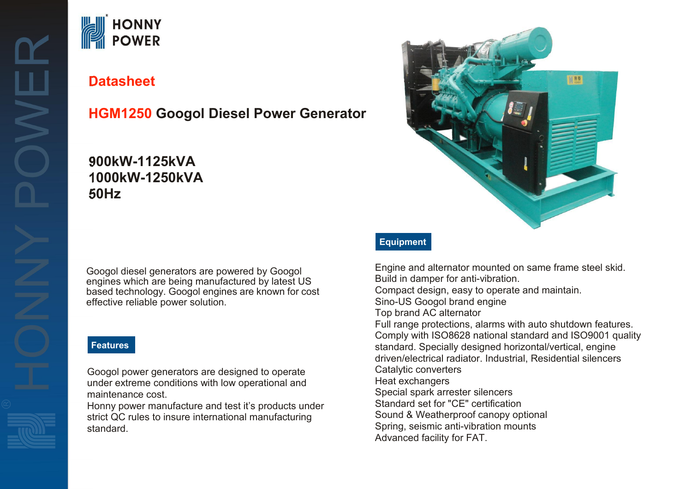# **HONNY**<br>POWER

# **Datasheet**

# **HGM1250 Googol Diesel Power Generator**

# **900kW-1125kVA 1000kW-1250kVA 50Hz**

Googol diesel generators are powered by Googol engines which are being manufactured by latest US based technology. Googol engines are known for cost effective reliable power solution.

## **Features**

Googol power generators are designed to operate under extreme conditions with low operational and maintenance cost.

Honny power manufacture and test it's products under strict QC rules to insure international manufacturing standard.



## **Equipment**

Engine and alternator mounted on same frame steel skid. Build in damper for anti-vibration. Compact design, easy to operate and maintain. Sino-US Googol brand engine Top brand AC alternator Full range protections, alarms with auto shutdown features. Comply with ISO8628 national standard and ISO9001 quality standard. Specially designed horizontal/vertical, engine driven/electrical radiator. Industrial, Residential silencers Catalytic converters Heat exchangers Special spark arrester silencers Standard set for "CE" certification Sound & Weatherproof canopy optional Spring, seismic anti-vibration mounts Advanced facility for FAT.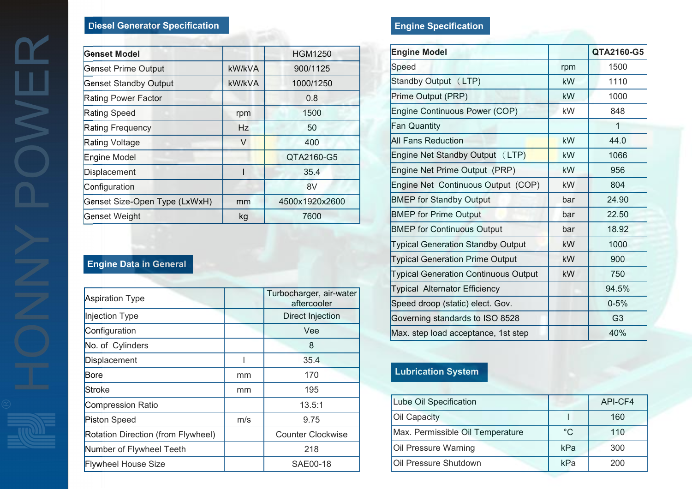## **Diesel Generator Specification**

| <b>Genset Model</b>           |        | <b>HGM1250</b> | <b>Engine Mo</b>  |
|-------------------------------|--------|----------------|-------------------|
| <b>Genset Prime Output</b>    | kW/kVA | 900/1125       | Speed             |
| <b>Genset Standby Output</b>  | kW/kVA | 1000/1250      | Standby Ou        |
| Rating Power Factor           |        | 0.8            | Prime Outpi       |
| Rating Speed                  | rpm    | 1500           | Engine Con        |
| <b>Rating Frequency</b>       | Hz     | 50             | Fan Quantit       |
| Rating Voltage                | V      | 400            | All Fans Re       |
| Engine Model                  |        | QTA2160-G5     | Engine Net        |
| Displacement                  |        | 35.4           | Engine Net        |
| Configuration                 |        | 8V             | Engine Net        |
| Genset Size-Open Type (LxWxH) | mm     | 4500x1920x2600 | <b>BMEP</b> for S |
| Genset Weight                 | kg     | 7600           | <b>BMEP</b> for P |

## **Engine Data in General**

|                                    |               | Turbocharger, air-water  | Typical Alte |
|------------------------------------|---------------|--------------------------|--------------|
| <b>Aspiration Type</b>             |               | aftercooler              | Speed droop  |
| Injection Type                     |               | <b>Direct Injection</b>  | Governing st |
| Configuration                      |               | Vee                      | Max. step lo |
| No. of Cylinders                   |               | 8                        |              |
| Displacement                       |               | 35.4                     |              |
| <b>Bore</b>                        | mm            | 170                      | Lubricatio   |
| Stroke                             | <sub>mm</sub> | 195                      |              |
| <b>Compression Ratio</b>           |               | 13.5:1                   | Lube Oil Sp  |
| <b>Piston Speed</b>                | m/s           | 9.75                     | Oil Capacity |
| Rotation Direction (from Flywheel) |               | <b>Counter Clockwise</b> | Max. Permis  |
| Number of Flywheel Teeth           |               | 218                      | Oil Pressure |
| <b>Flywheel House Size</b>         |               | SAE00-18                 | Oil Pressure |
|                                    |               |                          |              |

# **Engine Specification**

| <b>Engine Model</b>                         |           | QTA2160-G5     |
|---------------------------------------------|-----------|----------------|
| Speed                                       | rpm       | 1500           |
| Standby Output (LTP)                        | kW        | 1110           |
| Prime Output (PRP)                          | kW        | 1000           |
| Engine Continuous Power (COP)               | kW        | 848            |
| Fan Quantity                                |           | 1              |
| <b>All Fans Reduction</b>                   | kW        | 44.0           |
| Engine Net Standby Output (LTP)             | kW.       | 1066           |
| Engine Net Prime Output (PRP)               | <b>kW</b> | 956            |
| Engine Net Continuous Output (COP)          | kW        | 804            |
| <b>BMEP</b> for Standby Output              | bar       | 24.90          |
| <b>BMEP</b> for Prime Output                | bar       | 22.50          |
| <b>BMEP for Continuous Output</b>           | bar       | 18.92          |
| <b>Typical Generation Standby Output</b>    | kW        | 1000           |
| <b>Typical Generation Prime Output</b>      | kW        | 900            |
| <b>Typical Generation Continuous Output</b> | <b>kW</b> | 750            |
| <b>Typical Alternator Efficiency</b>        |           | 94.5%          |
| Speed droop (static) elect. Gov.            |           | $0 - 5%$       |
| Governing standards to ISO 8528             |           | G <sub>3</sub> |
| Max. step load acceptance, 1st step         |           | 40%            |

# **Lubrication System**

| Lube Oil Specification           |             | API-CF4 |
|----------------------------------|-------------|---------|
| <b>Oil Capacity</b>              |             | 160     |
| Max. Permissible Oil Temperature | $^{\circ}C$ | 110     |
| Oil Pressure Warning             | kPa         | 300     |
| Oil Pressure Shutdown            | kPa         | 200     |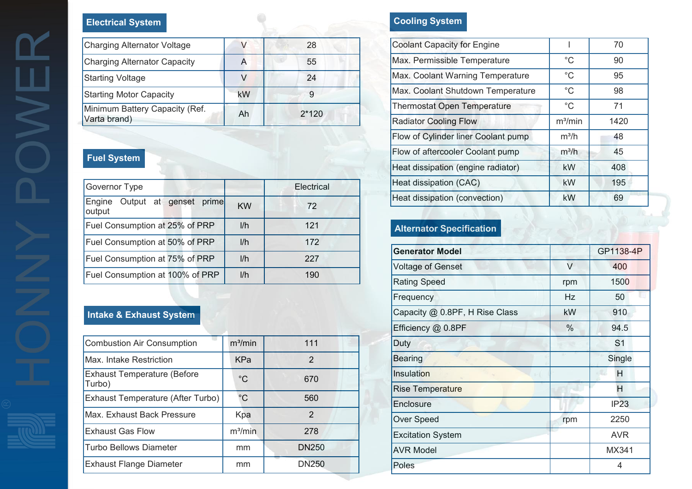## **Electrical System**

| <b>Charging Alternator Voltage</b>  |    | 28      | Coola |
|-------------------------------------|----|---------|-------|
| <b>Charging Alternator Capacity</b> | A  | 55      | Max.  |
| <b>Starting Voltage</b>             |    | 24      | Max.  |
| <b>Starting Motor Capacity</b>      | kW |         | Max.  |
| Minimum Battery Capacity (Ref.      | Ah | $2*120$ | Thern |
| Varta brand)                        |    |         | Radia |

# **Fuel System**

|                                               | Heat                       |  |
|-----------------------------------------------|----------------------------|--|
| Governor Type                                 | Electrical                 |  |
| prime<br>Output at genset<br>Engine<br>output | Heat<br><b>KW</b><br>72    |  |
| Fuel Consumption at 25% of PRP                | 1/h<br>121<br>Alte         |  |
| Fuel Consumption at 50% of PRP                | 1/h<br>172                 |  |
| Fuel Consumption at 75% of PRP                | Gen<br>1/h<br>227<br>Volta |  |
| Fuel Consumption at 100% of PRP               | 1/h<br>190<br>Rati         |  |

## **Intake & Exhaust System**

| <b>Combustion Air Consumption</b>  | m <sup>3</sup> /min | 111           | Duty             |
|------------------------------------|---------------------|---------------|------------------|
| Max. Intake Restriction            | <b>KPa</b>          | $\mathcal{P}$ | <b>Bearir</b>    |
| <b>Exhaust Temperature (Before</b> | $^{\circ}C$         | 670           | Insula           |
| Turbo)                             |                     |               | Rise 1           |
| Exhaust Temperature (After Turbo)  | $^{\circ}C$         | 560           | Enclo:           |
| Max. Exhaust Back Pressure         | Kpa                 | $\mathcal{P}$ |                  |
|                                    |                     |               | Over:            |
| <b>Exhaust Gas Flow</b>            | m <sup>3</sup> /min | 278           | Excita           |
| <b>Turbo Bellows Diameter</b>      | mm                  | <b>DN250</b>  | AVR <sub>I</sub> |
| <b>Exhaust Flange Diameter</b>     | mm                  | <b>DN250</b>  | Poles            |
|                                    |                     |               |                  |

# **Cooling System**

| <b>Coolant Capacity for Engine</b>  |                     | 70   |
|-------------------------------------|---------------------|------|
| Max. Permissible Temperature        | $^{\circ}C$         | 90   |
| Max. Coolant Warning Temperature    | $^{\circ}C$         | 95   |
| Max. Coolant Shutdown Temperature   | $^{\circ}C$         | 98   |
| <b>Thermostat Open Temperature</b>  | $^{\circ}C$         | 71   |
| <b>Radiator Cooling Flow</b>        | m <sup>3</sup> /min | 1420 |
| Flow of Cylinder liner Coolant pump | $m^3/h$             | 48   |
| Flow of aftercooler Coolant pump    | $m^3/h$             | 45   |
| Heat dissipation (engine radiator)  | <b>kW</b>           | 408  |
| Heat dissipation (CAC)              | <b>kW</b>           | 195  |
| Heat dissipation (convection)       | kW                  | 69   |

# **Alternator Specification**

| <b>Generator Model</b>         |           | GP1138-4P      |
|--------------------------------|-----------|----------------|
| <b>Voltage of Genset</b>       | $\vee$    | 400            |
| <b>Rating Speed</b>            | rpm       | 1500           |
| Frequency                      | <b>Hz</b> | 50             |
| Capacity @ 0.8PF, H Rise Class | kW        | 910            |
| Efficiency @ 0.8PF             | $\%$      | 94.5           |
| Duty                           |           | S <sub>1</sub> |
| <b>Bearing</b>                 |           | Single         |
| Insulation                     |           | H              |
| <b>Rise Temperature</b>        |           | H              |
| Enclosure                      |           | IP23           |
| Over Speed                     | rpm       | 2250           |
| <b>Excitation System</b>       |           | <b>AVR</b>     |
| <b>AVR Model</b>               |           | MX341          |
| Poles                          |           | 4              |
|                                |           |                |